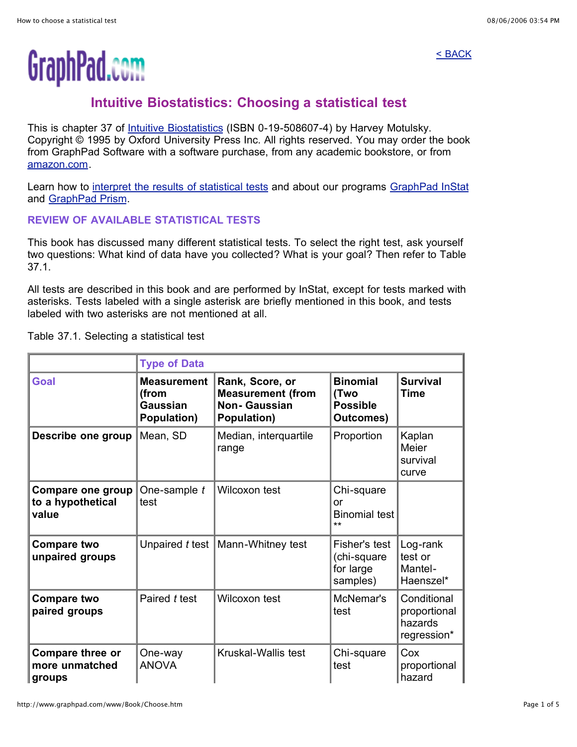< BACK

# GraphPad.com

# **Intuitive Biostatistics: Choosing a statistical test**

This is chapter 37 of *Intuitive Biostatistics* (ISBN 0-19-508607-4) by Harvey Motulsky. Copyright © 1995 by Oxford University Press Inc. All rights reserved. You may order the book from GraphPad Software with a software purchase, from any academic bookstore, or from amazon.com.

Learn how to interpret the results of statistical tests and about our programs GraphPad InStat and GraphPad Prism.

# **REVIEW OF AVAILABLE STATISTICAL TESTS**

This book has discussed many different statistical tests. To select the right test, ask yourself two questions: What kind of data have you collected? What is your goal? Then refer to Table 37.1.

All tests are described in this book and are performed by InStat, except for tests marked with asterisks. Tests labeled with a single asterisk are briefly mentioned in this book, and tests labeled with two asterisks are not mentioned at all.

Table 37.1. Selecting a statistical test

|                                                     | <b>Type of Data</b>                                    |                                                                                   |                                                         |                                                       |  |
|-----------------------------------------------------|--------------------------------------------------------|-----------------------------------------------------------------------------------|---------------------------------------------------------|-------------------------------------------------------|--|
| <b>Goal</b>                                         | <b>Measurement</b><br>(from<br>Gaussian<br>Population) | Rank, Score, or<br><b>Measurement (from</b><br><b>Non-Gaussian</b><br>Population) | <b>Binomial</b><br>(Two<br><b>Possible</b><br>Outcomes) | <b>Survival</b><br><b>Time</b>                        |  |
| Describe one group                                  | Mean, SD                                               | Median, interquartile<br>range                                                    | Proportion                                              | Kaplan<br>Meier<br>survival<br>curve                  |  |
| Compare one group<br>to a hypothetical<br>value     | One-sample t<br>test                                   | Wilcoxon test                                                                     | Chi-square<br>or<br><b>Binomial test</b><br>$***$       |                                                       |  |
| <b>Compare two</b><br>unpaired groups               |                                                        | Unpaired $t$ test   Mann-Whitney test                                             | Fisher's test<br>(chi-square<br>for large<br>samples)   | Log-rank<br>test or<br>Mantel-<br>Haenszel*           |  |
| <b>Compare two</b><br>paired groups                 | Paired t test                                          | Wilcoxon test                                                                     | McNemar's<br>test                                       | Conditional<br>proportional<br>hazards<br>regression* |  |
| <b>Compare three or</b><br>more unmatched<br>groups | One-way<br><b>ANOVA</b>                                | Kruskal-Wallis test                                                               | Chi-square<br>test                                      | Cox<br>proportional<br>hazard                         |  |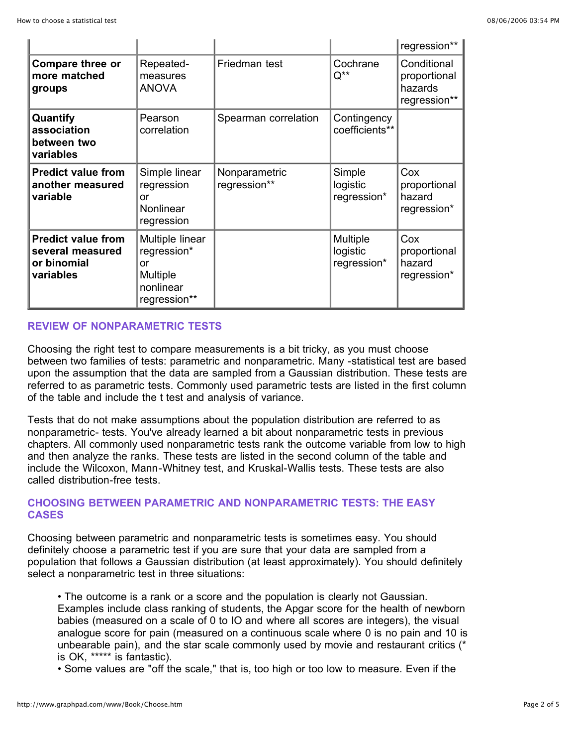|                                                                           |                                                                                             |                               |                                     | regression**                                           |
|---------------------------------------------------------------------------|---------------------------------------------------------------------------------------------|-------------------------------|-------------------------------------|--------------------------------------------------------|
| Compare three or<br>more matched<br>groups                                | Repeated-<br>measures<br><b>ANOVA</b>                                                       | Friedman test                 | Cochrane<br>Q**                     | Conditional<br>proportional<br>hazards<br>regression** |
| Quantify<br>association<br>between two<br>variables                       | Pearson<br>correlation                                                                      | Spearman correlation          | Contingency<br>coefficients**       |                                                        |
| <b>Predict value from</b><br>another measured<br>variable                 | Simple linear<br>regression<br><b>or</b><br>Nonlinear<br>regression                         | Nonparametric<br>regression** | Simple<br>logistic<br>regression*   | Cox<br>proportional<br>hazard<br>regression*           |
| <b>Predict value from</b><br>several measured<br>or binomial<br>variables | Multiple linear<br>regression*<br><b>or</b><br><b>Multiple</b><br>nonlinear<br>regression** |                               | Multiple<br>logistic<br>regression* | Cox<br>proportional<br>hazard<br>regression*           |

# **REVIEW OF NONPARAMETRIC TESTS**

Choosing the right test to compare measurements is a bit tricky, as you must choose between two families of tests: parametric and nonparametric. Many -statistical test are based upon the assumption that the data are sampled from a Gaussian distribution. These tests are referred to as parametric tests. Commonly used parametric tests are listed in the first column of the table and include the t test and analysis of variance.

Tests that do not make assumptions about the population distribution are referred to as nonparametric- tests. You've already learned a bit about nonparametric tests in previous chapters. All commonly used nonparametric tests rank the outcome variable from low to high and then analyze the ranks. These tests are listed in the second column of the table and include the Wilcoxon, Mann-Whitney test, and Kruskal-Wallis tests. These tests are also called distribution-free tests.

# **CHOOSING BETWEEN PARAMETRIC AND NONPARAMETRIC TESTS: THE EASY CASES**

Choosing between parametric and nonparametric tests is sometimes easy. You should definitely choose a parametric test if you are sure that your data are sampled from a population that follows a Gaussian distribution (at least approximately). You should definitely select a nonparametric test in three situations:

• The outcome is a rank or a score and the population is clearly not Gaussian. Examples include class ranking of students, the Apgar score for the health of newborn babies (measured on a scale of 0 to IO and where all scores are integers), the visual analogue score for pain (measured on a continuous scale where 0 is no pain and 10 is unbearable pain), and the star scale commonly used by movie and restaurant critics (\* is OK, \*\*\*\*\* is fantastic).

• Some values are "off the scale," that is, too high or too low to measure. Even if the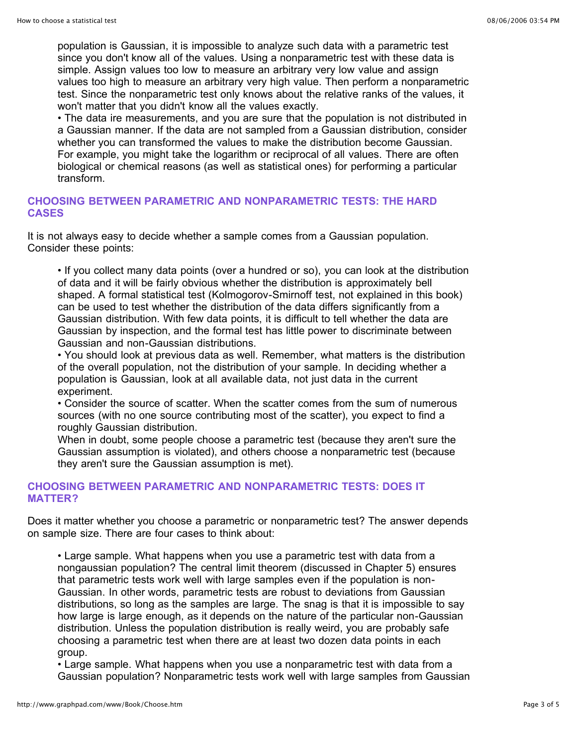population is Gaussian, it is impossible to analyze such data with a parametric test since you don't know all of the values. Using a nonparametric test with these data is simple. Assign values too low to measure an arbitrary very low value and assign values too high to measure an arbitrary very high value. Then perform a nonparametric test. Since the nonparametric test only knows about the relative ranks of the values, it won't matter that you didn't know all the values exactly.

• The data ire measurements, and you are sure that the population is not distributed in a Gaussian manner. If the data are not sampled from a Gaussian distribution, consider whether you can transformed the values to make the distribution become Gaussian. For example, you might take the logarithm or reciprocal of all values. There are often biological or chemical reasons (as well as statistical ones) for performing a particular transform.

# **CHOOSING BETWEEN PARAMETRIC AND NONPARAMETRIC TESTS: THE HARD CASES**

It is not always easy to decide whether a sample comes from a Gaussian population. Consider these points:

• If you collect many data points (over a hundred or so), you can look at the distribution of data and it will be fairly obvious whether the distribution is approximately bell shaped. A formal statistical test (Kolmogorov-Smirnoff test, not explained in this book) can be used to test whether the distribution of the data differs significantly from a Gaussian distribution. With few data points, it is difficult to tell whether the data are Gaussian by inspection, and the formal test has little power to discriminate between Gaussian and non-Gaussian distributions.

• You should look at previous data as well. Remember, what matters is the distribution of the overall population, not the distribution of your sample. In deciding whether a population is Gaussian, look at all available data, not just data in the current experiment.

• Consider the source of scatter. When the scatter comes from the sum of numerous sources (with no one source contributing most of the scatter), you expect to find a roughly Gaussian distribution.

When in doubt, some people choose a parametric test (because they aren't sure the Gaussian assumption is violated), and others choose a nonparametric test (because they aren't sure the Gaussian assumption is met).

# **CHOOSING BETWEEN PARAMETRIC AND NONPARAMETRIC TESTS: DOES IT MATTER?**

Does it matter whether you choose a parametric or nonparametric test? The answer depends on sample size. There are four cases to think about:

• Large sample. What happens when you use a parametric test with data from a nongaussian population? The central limit theorem (discussed in Chapter 5) ensures that parametric tests work well with large samples even if the population is non-Gaussian. In other words, parametric tests are robust to deviations from Gaussian distributions, so long as the samples are large. The snag is that it is impossible to say how large is large enough, as it depends on the nature of the particular non-Gaussian distribution. Unless the population distribution is really weird, you are probably safe choosing a parametric test when there are at least two dozen data points in each group.

• Large sample. What happens when you use a nonparametric test with data from a Gaussian population? Nonparametric tests work well with large samples from Gaussian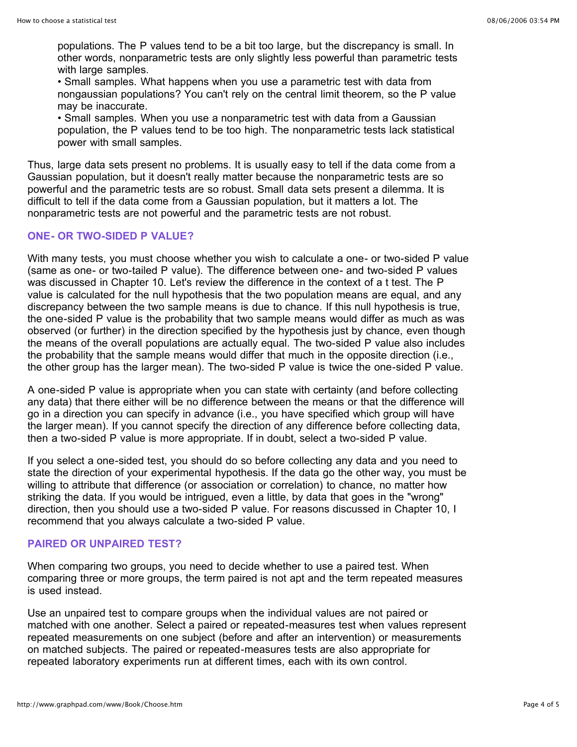populations. The P values tend to be a bit too large, but the discrepancy is small. In other words, nonparametric tests are only slightly less powerful than parametric tests with large samples.

• Small samples. What happens when you use a parametric test with data from nongaussian populations? You can't rely on the central limit theorem, so the P value may be inaccurate.

• Small samples. When you use a nonparametric test with data from a Gaussian population, the P values tend to be too high. The nonparametric tests lack statistical power with small samples.

Thus, large data sets present no problems. It is usually easy to tell if the data come from a Gaussian population, but it doesn't really matter because the nonparametric tests are so powerful and the parametric tests are so robust. Small data sets present a dilemma. It is difficult to tell if the data come from a Gaussian population, but it matters a lot. The nonparametric tests are not powerful and the parametric tests are not robust.

# **ONE- OR TWO-SIDED P VALUE?**

With many tests, you must choose whether you wish to calculate a one- or two-sided P value (same as one- or two-tailed P value). The difference between one- and two-sided P values was discussed in Chapter 10. Let's review the difference in the context of a t test. The P value is calculated for the null hypothesis that the two population means are equal, and any discrepancy between the two sample means is due to chance. If this null hypothesis is true, the one-sided P value is the probability that two sample means would differ as much as was observed (or further) in the direction specified by the hypothesis just by chance, even though the means of the overall populations are actually equal. The two-sided P value also includes the probability that the sample means would differ that much in the opposite direction (i.e., the other group has the larger mean). The two-sided P value is twice the one-sided P value.

A one-sided P value is appropriate when you can state with certainty (and before collecting any data) that there either will be no difference between the means or that the difference will go in a direction you can specify in advance (i.e., you have specified which group will have the larger mean). If you cannot specify the direction of any difference before collecting data, then a two-sided P value is more appropriate. If in doubt, select a two-sided P value.

If you select a one-sided test, you should do so before collecting any data and you need to state the direction of your experimental hypothesis. If the data go the other way, you must be willing to attribute that difference (or association or correlation) to chance, no matter how striking the data. If you would be intrigued, even a little, by data that goes in the "wrong" direction, then you should use a two-sided P value. For reasons discussed in Chapter 10, I recommend that you always calculate a two-sided P value.

#### **PAIRED OR UNPAIRED TEST?**

When comparing two groups, you need to decide whether to use a paired test. When comparing three or more groups, the term paired is not apt and the term repeated measures is used instead.

Use an unpaired test to compare groups when the individual values are not paired or matched with one another. Select a paired or repeated-measures test when values represent repeated measurements on one subject (before and after an intervention) or measurements on matched subjects. The paired or repeated-measures tests are also appropriate for repeated laboratory experiments run at different times, each with its own control.